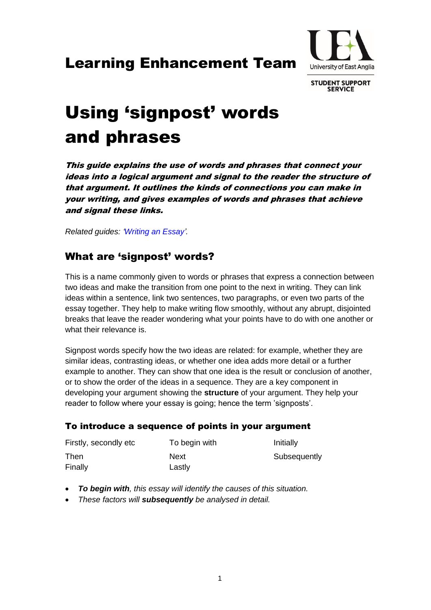## Learning Enhancement Team



**STUDENT SUPPORT SERVICE** 

# Using 'signpost' words and phrases

This guide explains the use of words and phrases that connect your ideas into a logical argument and signal to the reader the structure of that argument. It outlines the kinds of connections you can make in your writing, and gives examples of words and phrases that achieve and signal these links.

*Related guides: ['Writing an Essay'.](https://portal.uea.ac.uk/documents/6207125/7632456/Writing+an+Essay.pdf/ac59b4c1-521d-4382-81ec-95d5af76d520)*

## What are 'signpost' words?

This is a name commonly given to words or phrases that express a connection between two ideas and make the transition from one point to the next in writing. They can link ideas within a sentence, link two sentences, two paragraphs, or even two parts of the essay together. They help to make writing flow smoothly, without any abrupt, disjointed breaks that leave the reader wondering what your points have to do with one another or what their relevance is.

Signpost words specify how the two ideas are related: for example, whether they are similar ideas, contrasting ideas, or whether one idea adds more detail or a further example to another. They can show that one idea is the result or conclusion of another, or to show the order of the ideas in a sequence. They are a key component in developing your argument showing the **structure** of your argument. They help your reader to follow where your essay is going; hence the term 'signposts'.

### To introduce a sequence of points in your argument

| Firstly, secondly etc | To begin with | Initially    |
|-----------------------|---------------|--------------|
| Then                  | Next          | Subsequently |
| Finally               | Lastly        |              |

- *To begin with, this essay will identify the causes of this situation.*
- *These factors will subsequently be analysed in detail.*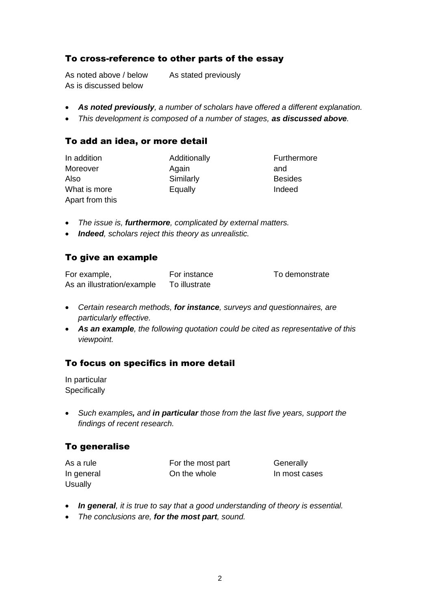### To cross-reference to other parts of the essay

As noted above / below As stated previously As is discussed below

- *As noted previously, a number of scholars have offered a different explanation.*
- *This development is composed of a number of stages, as discussed above.*

#### To add an idea, or more detail

| In addition     | Additionally | Furthermore    |
|-----------------|--------------|----------------|
| Moreover        | Again        | and            |
| Also            | Similarly    | <b>Besides</b> |
| What is more    | Equally      | Indeed         |
| Apart from this |              |                |

- *The issue is, furthermore, complicated by external matters.*
- *Indeed, scholars reject this theory as unrealistic.*

#### To give an example

| For example,               | For instance  | To demonstrate |
|----------------------------|---------------|----------------|
| As an illustration/example | To illustrate |                |

- *Certain research methods, for instance, surveys and questionnaires, are particularly effective.*
- *As an example, the following quotation could be cited as representative of this viewpoint.*

### To focus on specifics in more detail

In particular **Specifically** 

 *Such examples, and in particular those from the last five years, support the findings of recent research.*

### To generalise

| As a rule  | For the most part | Generally     |
|------------|-------------------|---------------|
| In general | On the whole      | In most cases |
| Usually    |                   |               |

- *In general, it is true to say that a good understanding of theory is essential.*
- *The conclusions are, for the most part, sound.*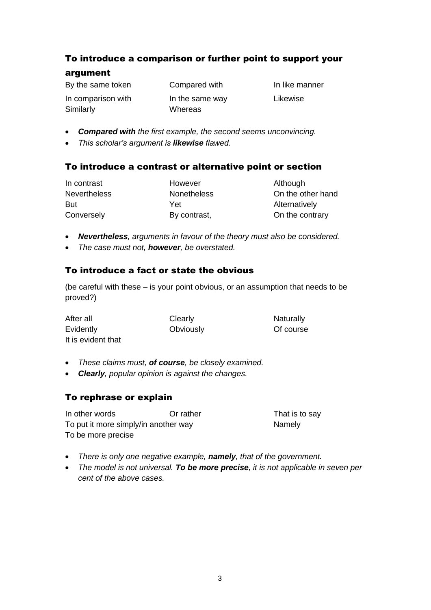## To introduce a comparison or further point to support your

## argument

By the same token Compared with In like manner

In comparison with In the same way Likewise

- *Compared with the first example, the second seems unconvincing.*
- *This scholar's argument is likewise flawed.*

Similarly **Whereas** 

## To introduce a contrast or alternative point or section

| In contrast         | However            | Although          |
|---------------------|--------------------|-------------------|
| <b>Nevertheless</b> | <b>Nonetheless</b> | On the other hand |
| <b>But</b>          | Yet                | Alternatively     |
| Conversely          | By contrast,       | On the contrary   |

- *Nevertheless, arguments in favour of the theory must also be considered.*
- *The case must not, however, be overstated.*

## To introduce a fact or state the obvious

(be careful with these – is your point obvious, or an assumption that needs to be proved?)

| After all          | Clearly   | Naturally |
|--------------------|-----------|-----------|
| Evidently          | Obviously | Of course |
| It is evident that |           |           |

- *These claims must, of course, be closely examined.*
- *Clearly, popular opinion is against the changes.*

## To rephrase or explain

In other words **Or rather** That is to say To put it more simply/in another way Namely To be more precise

- *There is only one negative example, namely, that of the government.*
- *The model is not universal. To be more precise, it is not applicable in seven per cent of the above cases.*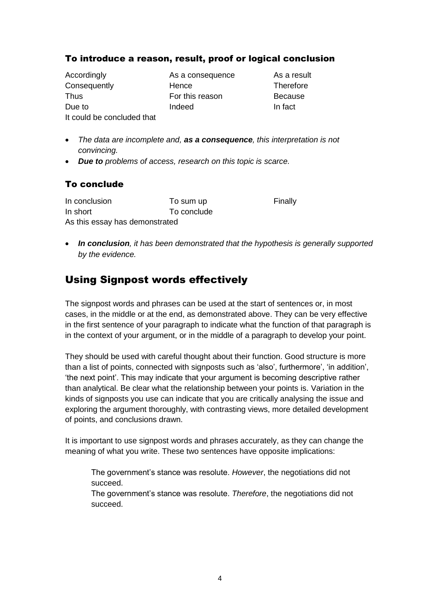## To introduce a reason, result, proof or logical conclusion

Accordingly **As a consequence** As a result Consequently **Hence** Hence Therefore Thus For this reason Because Due to **Indeed** Indeed In fact It could be concluded that

- *The data are incomplete and, as a consequence, this interpretation is not convincing.*
- *Due to problems of access, research on this topic is scarce.*

## To conclude

| In conclusion                  | To sum up   | Finally |
|--------------------------------|-------------|---------|
| In short                       | To conclude |         |
| As this essay has demonstrated |             |         |

 *In conclusion, it has been demonstrated that the hypothesis is generally supported by the evidence.*

## Using Signpost words effectively

The signpost words and phrases can be used at the start of sentences or, in most cases, in the middle or at the end, as demonstrated above. They can be very effective in the first sentence of your paragraph to indicate what the function of that paragraph is in the context of your argument, or in the middle of a paragraph to develop your point.

They should be used with careful thought about their function. Good structure is more than a list of points, connected with signposts such as 'also', furthermore', 'in addition', 'the next point'. This may indicate that your argument is becoming descriptive rather than analytical. Be clear what the relationship between your points is. Variation in the kinds of signposts you use can indicate that you are critically analysing the issue and exploring the argument thoroughly, with contrasting views, more detailed development of points, and conclusions drawn.

It is important to use signpost words and phrases accurately, as they can change the meaning of what you write. These two sentences have opposite implications:

The government's stance was resolute. *However*, the negotiations did not succeed.

The government's stance was resolute. *Therefore*, the negotiations did not succeed.